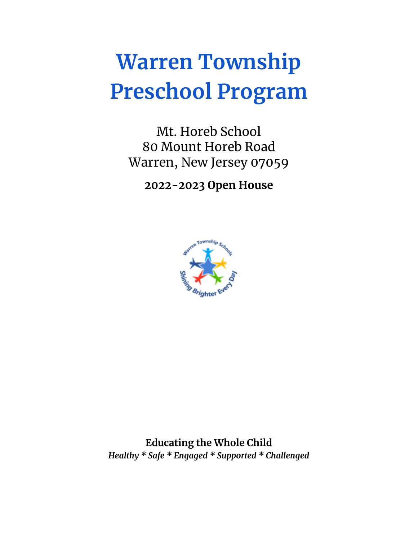# **Warren Township Preschool Program**

Mt. Horeb School 80 Mount Horeb Road Warren, New Jersey 07059

**2022-2023 Open House**



**Educating the Whole Child** *Healthy \* Safe \* Engaged \* Supported \* Challenged*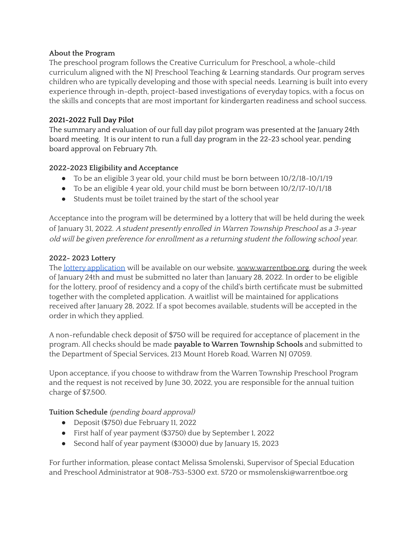# **About the Program**

The preschool program follows the Creative Curriculum for Preschool, a whole-child curriculum aligned with the NJ Preschool Teaching & Learning standards. Our program serves children who are typically developing and those with special needs. Learning is built into every experience through in-depth, project-based investigations of everyday topics, with a focus on the skills and concepts that are most important for kindergarten readiness and school success.

## **2021-2022 Full Day Pilot**

The summary and evaluation of our full day pilot program was presented at the January 24th board meeting. It is our intent to run a full day program in the 22-23 school year, pending board approval on February 7th.

# **2022-2023 Eligibility and Acceptance**

- To be an eligible 3 year old, your child must be born between 10/2/18-10/1/19
- To be an eligible 4 year old, your child must be born between 10/2/17-10/1/18
- Students must be toilet trained by the start of the school year

Acceptance into the program will be determined by a lottery that will be held during the week of January 31, 2022. <sup>A</sup> student presently enrolled in Warren Township Preschool as <sup>a</sup> 3-year old will be given preference for enrollment as <sup>a</sup> returning student the following school year.

### **2022- 2023 Lottery**

The lottery [application](https://forms.gle/RutZSeywRJg9Bg6f6) will be available on our website, [www.warrentboe.org,](http://www.warrentboe.org) during the week of January 24th and must be submitted no later than January 28, 2022. In order to be eligible for the lottery, proof of residency and a copy of the child's birth certificate must be submitted together with the completed application. A waitlist will be maintained for applications received after January 28, 2022. If a spot becomes available, students will be accepted in the order in which they applied.

A non-refundable check deposit of \$750 will be required for acceptance of placement in the program. All checks should be made **payable to Warren Township Schools** and submitted to the Department of Special Services, 213 Mount Horeb Road, Warren NJ 07059.

Upon acceptance, if you choose to withdraw from the Warren Township Preschool Program and the request is not received by June 30, 2022, you are responsible for the annual tuition charge of \$7,500.

# **Tuition Schedule** (pending board approval)

- Deposit (\$750) due February 11, 2022
- First half of year payment (\$3750) due by September 1, 2022
- Second half of year payment (\$3000) due by January 15, 2023

For further information, please contact Melissa Smolenski, Supervisor of Special Education and Preschool Administrator at 908-753-5300 ext. 5720 or msmolenski@warrentboe.org